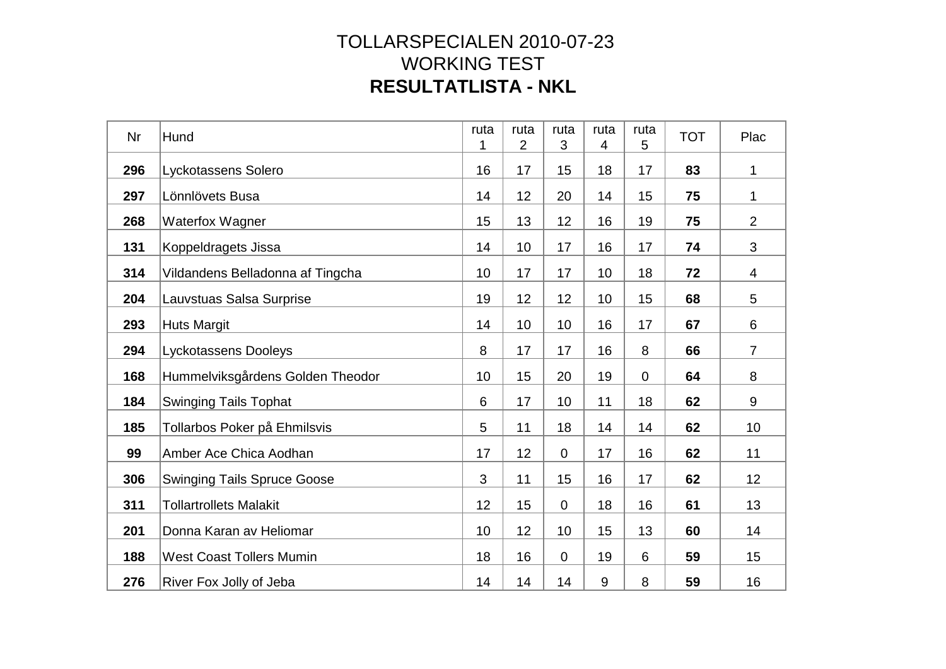| Nr  | Hund                               | ruta | ruta<br>2 | ruta<br>3      | ruta<br>4 | ruta<br>5      | <b>TOT</b> | Plac           |
|-----|------------------------------------|------|-----------|----------------|-----------|----------------|------------|----------------|
| 296 | Lyckotassens Solero                | 16   | 17        | 15             | 18        | 17             | 83         | 1              |
| 297 | Lönnlövets Busa                    | 14   | 12        | 20             | 14        | 15             | 75         | 1              |
| 268 | <b>Waterfox Wagner</b>             | 15   | 13        | 12             | 16        | 19             | 75         | $\overline{2}$ |
| 131 | Koppeldragets Jissa                | 14   | 10        | 17             | 16        | 17             | 74         | 3              |
| 314 | Vildandens Belladonna af Tingcha   | 10   | 17        | 17             | 10        | 18             | 72         | 4              |
| 204 | Lauvstuas Salsa Surprise           | 19   | 12        | 12             | 10        | 15             | 68         | 5              |
| 293 | <b>Huts Margit</b>                 | 14   | 10        | 10             | 16        | 17             | 67         | 6              |
| 294 | Lyckotassens Dooleys               | 8    | 17        | 17             | 16        | 8              | 66         | $\overline{7}$ |
| 168 | Hummelviksgårdens Golden Theodor   | 10   | 15        | 20             | 19        | $\overline{0}$ | 64         | 8              |
| 184 | <b>Swinging Tails Tophat</b>       | 6    | 17        | 10             | 11        | 18             | 62         | 9              |
| 185 | Tollarbos Poker på Ehmilsvis       | 5    | 11        | 18             | 14        | 14             | 62         | 10             |
| 99  | Amber Ace Chica Aodhan             | 17   | 12        | $\overline{0}$ | 17        | 16             | 62         | 11             |
| 306 | <b>Swinging Tails Spruce Goose</b> | 3    | 11        | 15             | 16        | 17             | 62         | 12             |
| 311 | <b>Tollartrollets Malakit</b>      | 12   | 15        | $\mathbf 0$    | 18        | 16             | 61         | 13             |
| 201 | Donna Karan av Heliomar            | 10   | 12        | 10             | 15        | 13             | 60         | 14             |
| 188 | <b>West Coast Tollers Mumin</b>    | 18   | 16        | $\overline{0}$ | 19        | 6              | 59         | 15             |
| 276 | River Fox Jolly of Jeba            | 14   | 14        | 14             | 9         | 8              | 59         | 16             |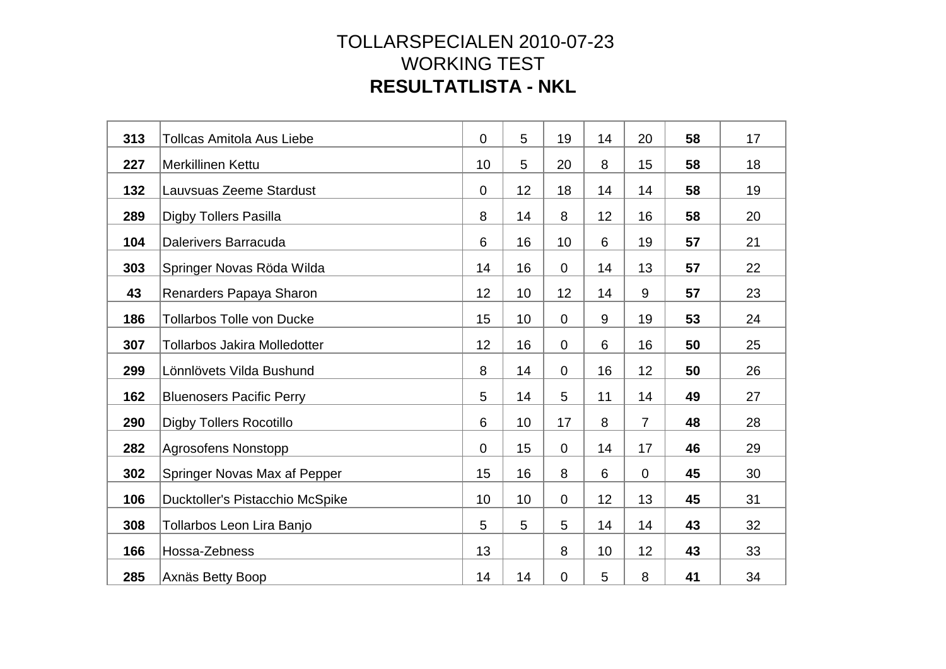| 313 | <b>Tollcas Amitola Aus Liebe</b>    | $\overline{0}$ | 5  | 19             | 14 | 20             | 58 | 17 |
|-----|-------------------------------------|----------------|----|----------------|----|----------------|----|----|
| 227 | <b>Merkillinen Kettu</b>            | 10             | 5  | 20             | 8  | 15             | 58 | 18 |
| 132 | Lauvsuas Zeeme Stardust             | $\overline{0}$ | 12 | 18             | 14 | 14             | 58 | 19 |
| 289 | <b>Digby Tollers Pasilla</b>        | 8              | 14 | 8              | 12 | 16             | 58 | 20 |
| 104 | Dalerivers Barracuda                | 6              | 16 | 10             | 6  | 19             | 57 | 21 |
| 303 | Springer Novas Röda Wilda           | 14             | 16 | $\mathbf 0$    | 14 | 13             | 57 | 22 |
| 43  | Renarders Papaya Sharon             | 12             | 10 | 12             | 14 | 9              | 57 | 23 |
| 186 | <b>Tollarbos Tolle von Ducke</b>    | 15             | 10 | $\mathbf 0$    | 9  | 19             | 53 | 24 |
| 307 | <b>Tollarbos Jakira Molledotter</b> | 12             | 16 | $\overline{0}$ | 6  | 16             | 50 | 25 |
| 299 | Lönnlövets Vilda Bushund            | 8              | 14 | $\mathbf 0$    | 16 | 12             | 50 | 26 |
| 162 | <b>Bluenosers Pacific Perry</b>     | 5              | 14 | 5              | 11 | 14             | 49 | 27 |
| 290 | <b>Digby Tollers Rocotillo</b>      | 6              | 10 | 17             | 8  | $\overline{7}$ | 48 | 28 |
| 282 | <b>Agrosofens Nonstopp</b>          | $\overline{0}$ | 15 | $\overline{0}$ | 14 | 17             | 46 | 29 |
| 302 | Springer Novas Max af Pepper        | 15             | 16 | 8              | 6  | $\overline{0}$ | 45 | 30 |
| 106 | Ducktoller's Pistacchio McSpike     | 10             | 10 | $\overline{0}$ | 12 | 13             | 45 | 31 |
| 308 | Tollarbos Leon Lira Banjo           | 5              | 5  | 5              | 14 | 14             | 43 | 32 |
| 166 | Hossa-Zebness                       | 13             |    | 8              | 10 | 12             | 43 | 33 |
| 285 | Axnäs Betty Boop                    | 14             | 14 | 0              | 5  | 8              | 41 | 34 |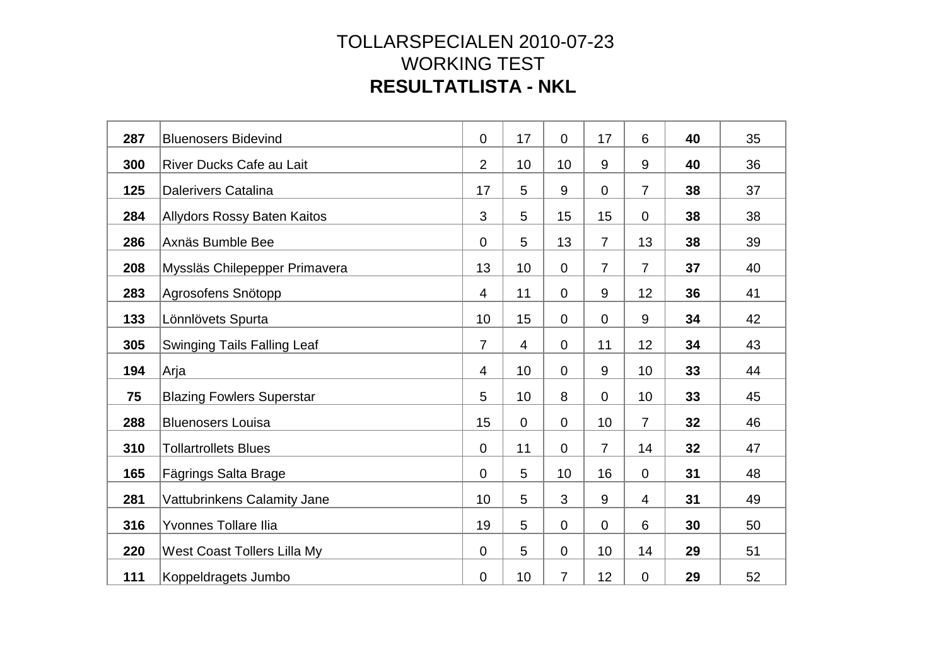| 287 | <b>Bluenosers Bidevind</b>         | $\overline{0}$ | 17 | $\mathbf 0$    | 17             | 6              | 40 | 35 |
|-----|------------------------------------|----------------|----|----------------|----------------|----------------|----|----|
| 300 | River Ducks Cafe au Lait           | $\overline{2}$ | 10 | 10             | 9              | 9              | 40 | 36 |
| 125 | <b>Dalerivers Catalina</b>         | 17             | 5  | 9              | $\overline{0}$ | $\overline{7}$ | 38 | 37 |
| 284 | <b>Allydors Rossy Baten Kaitos</b> | 3              | 5  | 15             | 15             | $\overline{0}$ | 38 | 38 |
| 286 | Axnäs Bumble Bee                   | $\overline{0}$ | 5  | 13             | $\overline{7}$ | 13             | 38 | 39 |
| 208 | Myssläs Chilepepper Primavera      | 13             | 10 | $\mathbf 0$    | $\overline{7}$ | $\overline{7}$ | 37 | 40 |
| 283 | Agrosofens Snötopp                 | $\overline{4}$ | 11 | $\overline{0}$ | 9              | 12             | 36 | 41 |
| 133 | Lönnlövets Spurta                  | 10             | 15 | $\overline{0}$ | $\mathbf 0$    | 9              | 34 | 42 |
| 305 | <b>Swinging Tails Falling Leaf</b> | $\overline{7}$ | 4  | $\overline{0}$ | 11             | 12             | 34 | 43 |
| 194 | Arja                               | $\overline{4}$ | 10 | $\overline{0}$ | 9              | 10             | 33 | 44 |
| 75  | <b>Blazing Fowlers Superstar</b>   | 5              | 10 | 8              | $\overline{0}$ | 10             | 33 | 45 |
| 288 | <b>Bluenosers Louisa</b>           | 15             | 0  | $\overline{0}$ | 10             | $\overline{7}$ | 32 | 46 |
| 310 | <b>Tollartrollets Blues</b>        | $\overline{0}$ | 11 | $\overline{0}$ | $\overline{7}$ | 14             | 32 | 47 |
| 165 | Fägrings Salta Brage               | $\mathbf 0$    | 5  | 10             | 16             | $\overline{0}$ | 31 | 48 |
| 281 | Vattubrinkens Calamity Jane        | 10             | 5  | 3              | 9              | $\overline{4}$ | 31 | 49 |
| 316 | Yvonnes Tollare Ilia               | 19             | 5  | 0              | $\mathbf 0$    | 6              | 30 | 50 |
| 220 | West Coast Tollers Lilla My        | $\mathbf 0$    | 5  | $\overline{0}$ | 10             | 14             | 29 | 51 |
| 111 | Koppeldragets Jumbo                | $\overline{0}$ | 10 | $\overline{7}$ | 12             | $\mathbf 0$    | 29 | 52 |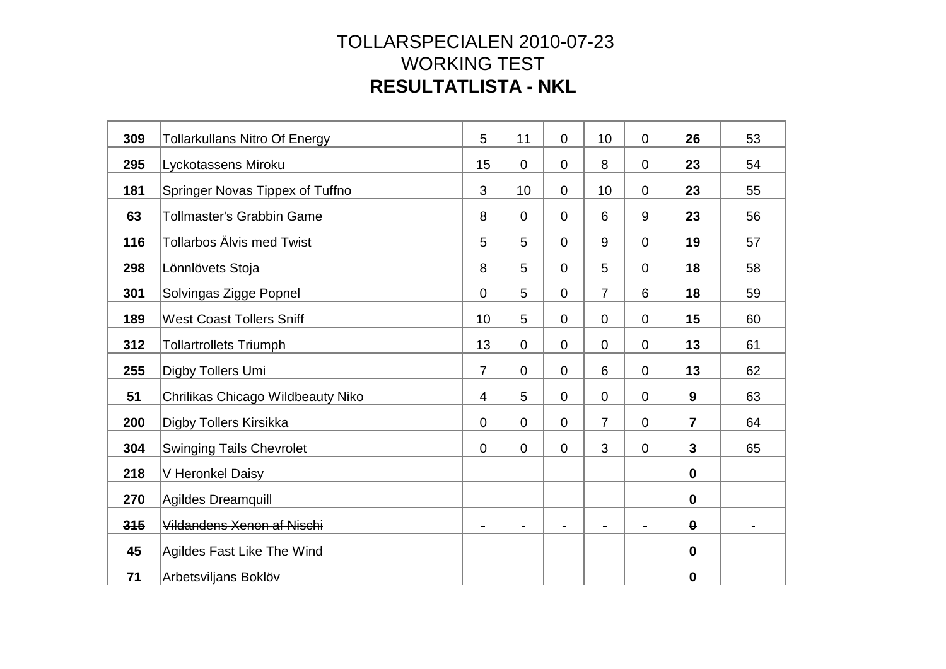| 309 | <b>Tollarkullans Nitro Of Energy</b> | 5                        | 11                       | $\overline{0}$           | 10                       | $\overline{0}$           | 26                    | 53                       |
|-----|--------------------------------------|--------------------------|--------------------------|--------------------------|--------------------------|--------------------------|-----------------------|--------------------------|
| 295 | Lyckotassens Miroku                  | 15                       | 0                        | 0                        | 8                        | $\Omega$                 | 23                    | 54                       |
| 181 | Springer Novas Tippex of Tuffno      | 3                        | 10                       | 0                        | 10                       | $\mathbf 0$              | 23                    | 55                       |
| 63  | <b>Tollmaster's Grabbin Game</b>     | 8                        | 0                        | $\mathbf 0$              | 6                        | 9                        | 23                    | 56                       |
| 116 | <b>Tollarbos Älvis med Twist</b>     | 5                        | 5                        | $\mathbf 0$              | 9                        | $\mathbf 0$              | 19                    | 57                       |
| 298 | Lönnlövets Stoja                     | 8                        | 5                        | $\overline{0}$           | 5                        | $\overline{0}$           | 18                    | 58                       |
| 301 | Solvingas Zigge Popnel               | $\overline{0}$           | 5                        | $\overline{0}$           | $\overline{7}$           | 6                        | 18                    | 59                       |
| 189 | <b>West Coast Tollers Sniff</b>      | 10                       | 5                        | $\overline{0}$           | $\overline{0}$           | $\overline{0}$           | 15                    | 60                       |
| 312 | <b>Tollartrollets Triumph</b>        | 13                       | 0                        | $\overline{0}$           | $\overline{0}$           | $\overline{0}$           | 13                    | 61                       |
| 255 | Digby Tollers Umi                    | $\overline{7}$           | 0                        | $\pmb{0}$                | 6                        | $\mathbf 0$              | 13                    | 62                       |
| 51  | Chrilikas Chicago Wildbeauty Niko    | $\overline{4}$           | 5                        | $\overline{0}$           | $\overline{0}$           | $\overline{0}$           | 9                     | 63                       |
| 200 | Digby Tollers Kirsikka               | $\overline{0}$           | 0                        | $\overline{0}$           | $\overline{7}$           | $\overline{0}$           | $\overline{7}$        | 64                       |
| 304 | <b>Swinging Tails Chevrolet</b>      | $\overline{0}$           | $\overline{0}$           | $\overline{0}$           | 3                        | $\overline{0}$           | $\mathbf{3}$          | 65                       |
| 218 | V Heronkel Daisy                     | $\overline{a}$           | $\qquad \qquad -$        | $\overline{\phantom{a}}$ |                          | $\overline{a}$           | $\boldsymbol{\theta}$ |                          |
| 270 | Agildes Dreamquill                   | $\overline{a}$           | $\qquad \qquad -$        | $\overline{\phantom{a}}$ | $\overline{\phantom{a}}$ | $\overline{\phantom{a}}$ | $\boldsymbol{\theta}$ |                          |
| 315 | Vildandens Xenon af Nischi           | $\overline{\phantom{0}}$ | $\overline{\phantom{0}}$ | $\overline{\phantom{a}}$ |                          | $\overline{a}$           | $\boldsymbol{\theta}$ | $\overline{\phantom{a}}$ |
| 45  | Agildes Fast Like The Wind           |                          |                          |                          |                          |                          | $\mathbf 0$           |                          |
| 71  | Arbetsviljans Boklöv                 |                          |                          |                          |                          |                          | $\boldsymbol{0}$      |                          |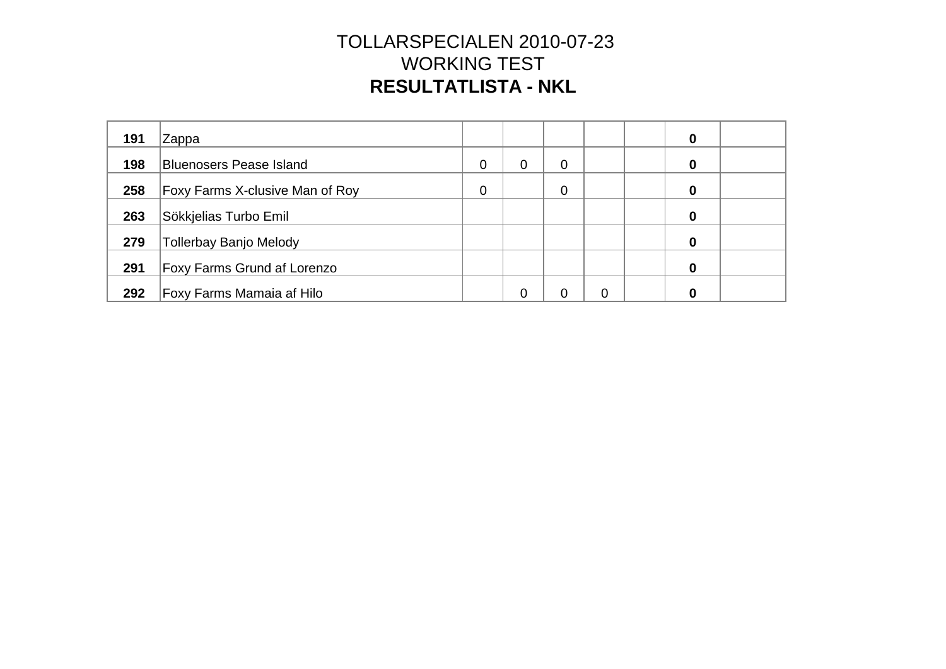| 191 | Zappa                              |   |   |   |          | 0 |  |
|-----|------------------------------------|---|---|---|----------|---|--|
| 198 | <b>Bluenosers Pease Island</b>     | 0 | 0 | 0 |          | 0 |  |
| 258 | Foxy Farms X-clusive Man of Roy    | 0 |   | 0 |          | 0 |  |
| 263 | Sökkjelias Turbo Emil              |   |   |   |          | 0 |  |
| 279 | <b>Tollerbay Banjo Melody</b>      |   |   |   |          | 0 |  |
| 291 | <b>Foxy Farms Grund af Lorenzo</b> |   |   |   |          | 0 |  |
| 292 | Foxy Farms Mamaia af Hilo          |   | ∩ | ∩ | $\Omega$ |   |  |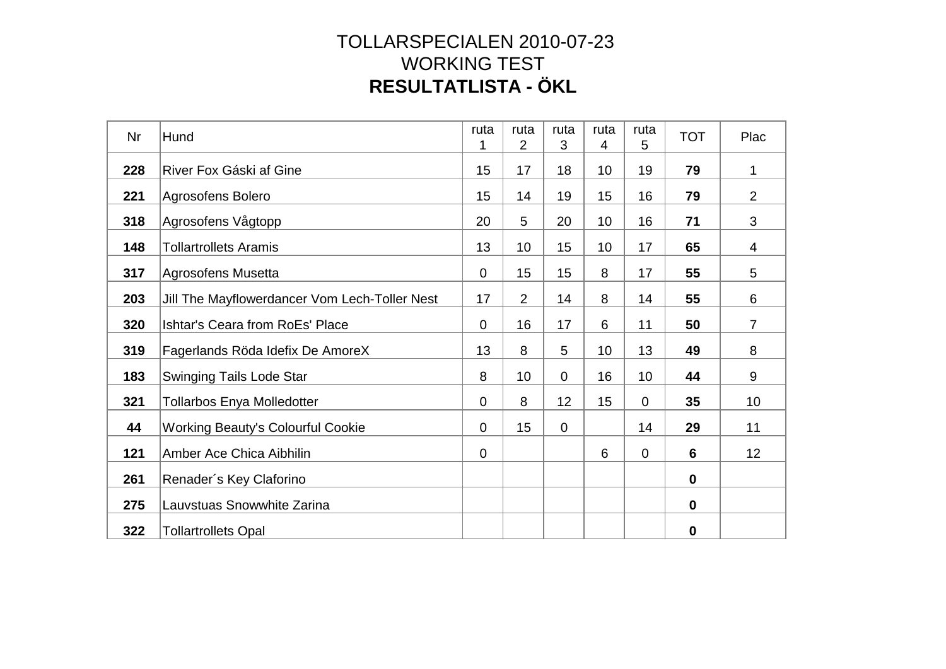| Nr  | Hund                                          | ruta<br>1      | ruta<br>2      | ruta<br>3      | ruta<br>$\overline{4}$ | ruta<br>5       | <b>TOT</b>  | Plac           |
|-----|-----------------------------------------------|----------------|----------------|----------------|------------------------|-----------------|-------------|----------------|
| 228 | River Fox Gáski af Gine                       | 15             | 17             | 18             | 10                     | 19              | 79          | 1              |
| 221 | Agrosofens Bolero                             | 15             | 14             | 19             | 15                     | 16              | 79          | $\overline{2}$ |
| 318 | Agrosofens Vågtopp                            | 20             | 5              | 20             | 10                     | 16              | 71          | 3              |
| 148 | <b>Tollartrollets Aramis</b>                  | 13             | 10             | 15             | 10                     | 17              | 65          | 4              |
| 317 | Agrosofens Musetta                            | $\mathbf 0$    | 15             | 15             | 8                      | 17              | 55          | 5              |
| 203 | Jill The Mayflowerdancer Vom Lech-Toller Nest | 17             | $\overline{2}$ | 14             | 8                      | 14              | 55          | 6              |
| 320 | Ishtar's Ceara from RoEs' Place               | $\overline{0}$ | 16             | 17             | 6                      | 11              | 50          | $\overline{7}$ |
| 319 | Fagerlands Röda Idefix De AmoreX              | 13             | 8              | 5              | 10                     | 13              | 49          | 8              |
| 183 | <b>Swinging Tails Lode Star</b>               | 8              | 10             | $\mathbf 0$    | 16                     | 10 <sup>°</sup> | 44          | 9              |
| 321 | <b>Tollarbos Enya Molledotter</b>             | $\mathbf 0$    | 8              | 12             | 15                     | $\overline{0}$  | 35          | 10             |
| 44  | <b>Working Beauty's Colourful Cookie</b>      | $\mathbf 0$    | 15             | $\overline{0}$ |                        | 14              | 29          | 11             |
| 121 | Amber Ace Chica Aibhilin                      | $\mathbf 0$    |                |                | 6                      | $\mathbf 0$     | 6           | 12             |
| 261 | Renader's Key Claforino                       |                |                |                |                        |                 | $\mathbf 0$ |                |
| 275 | Lauvstuas Snowwhite Zarina                    |                |                |                |                        |                 | $\mathbf 0$ |                |
| 322 | <b>Tollartrollets Opal</b>                    |                |                |                |                        |                 | 0           |                |